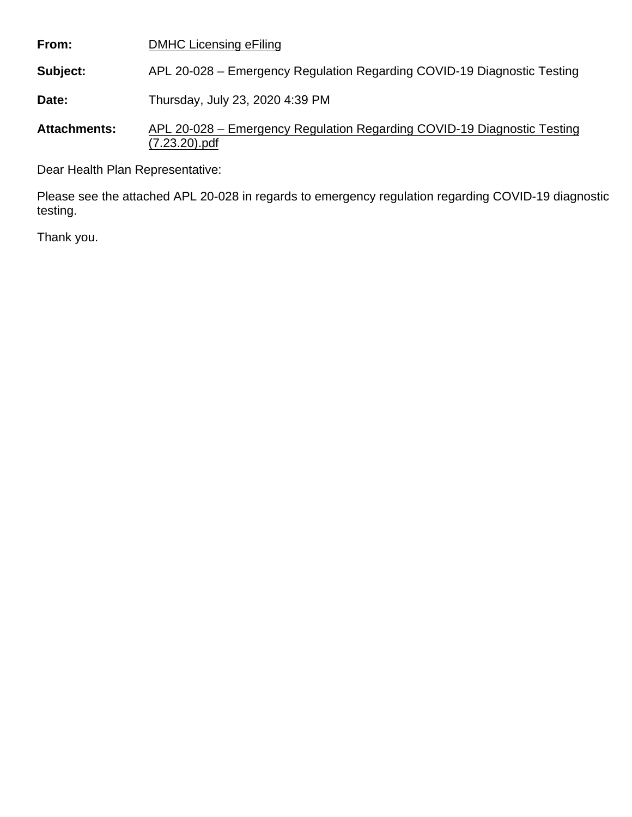**From: Subject: Date: Attachments:** DMHC Licensing eFiling APL 20-028 – Emergency Regulation Regarding COVID-19 Diagnostic Testing Thursday, July 23, 2020 4:39 PM APL 20-028 – Emergency Regulation Regarding COVID-19 Diagnostic Testing (7.23.20).pdf

Dear Health Plan Representative:

Please see the attached APL 20-028 in regards to emergency regulation regarding COVID-19 diagnostic testing.

Thank you.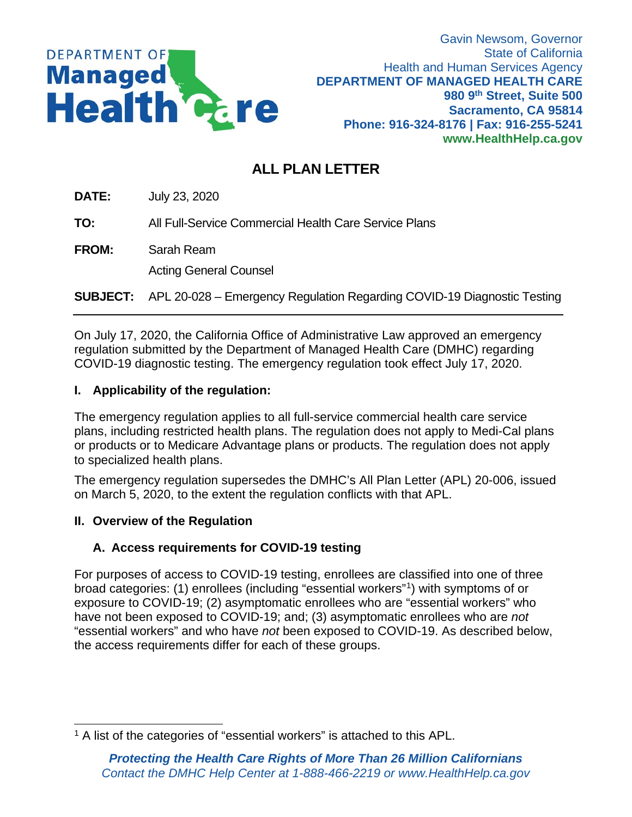

# **ALL PLAN LETTER**

**DATE:** July 23, 2020

**TO:** All Full-Service Commercial Health Care Service Plans

**FROM:** Sarah Ream

Acting General Counsel

**SUBJECT:** APL 20-028 – Emergency Regulation Regarding COVID-19 Diagnostic Testing

On July 17, 2020, the California Office of Administrative Law approved an emergency regulation submitted by the Department of Managed Health Care (DMHC) regarding COVID-19 diagnostic testing. The emergency regulation took effect July 17, 2020.

# **I. Applicability of the regulation:**

The emergency regulation applies to all full-service commercial health care service plans, including restricted health plans. The regulation does not apply to Medi-Cal plans or products or to Medicare Advantage plans or products. The regulation does not apply to specialized health plans.

The emergency regulation supersedes the DMHC's All Plan Letter (APL) 20-006, issued on March 5, 2020, to the extent the regulation conflicts with that APL.

# **II. Overview of the Regulation**

# **A. Access requirements for COVID-19 testing**

For purposes of access to COVID-19 testing, enrollees are classified into one of three broad categories: (1) enrollees (including "essential workers"[1](#page-1-0) ) with symptoms of or exposure to COVID-19; (2) asymptomatic enrollees who are "essential workers" who have not been exposed to COVID-19; and; (3) asymptomatic enrollees who are *not* "essential workers" and who have *not* been exposed to COVID-19. As described below, the access requirements differ for each of these groups.

<span id="page-1-0"></span><sup>&</sup>lt;sup>1</sup> A list of the categories of "essential workers" is attached to this APL.  $\overline{a}$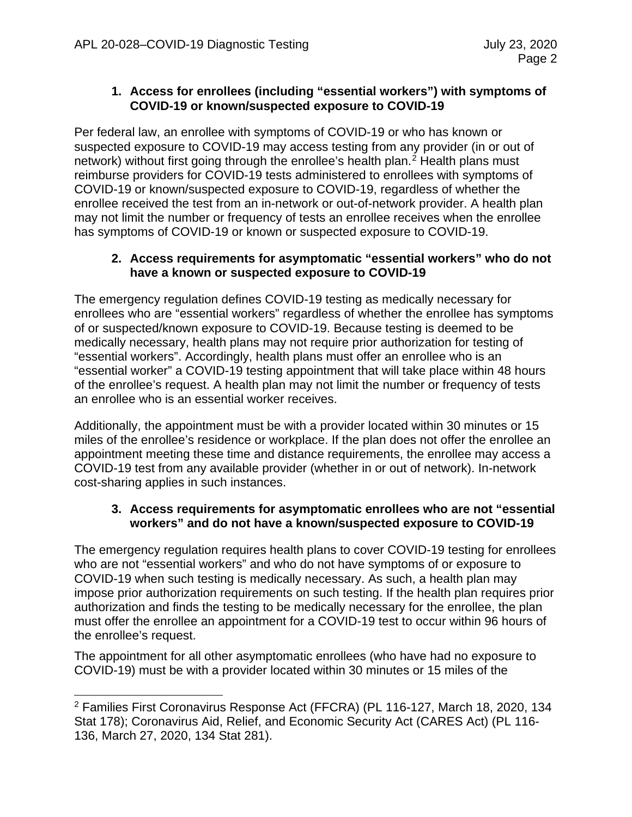## **1. Access for enrollees (including "essential workers") with symptoms of COVID-19 or known/suspected exposure to COVID-19**

Per federal law, an enrollee with symptoms of COVID-19 or who has known or suspected exposure to COVID-19 may access testing from any provider (in or out of network) without first going through the enrollee's health plan.<sup>[2](#page-2-0)</sup> Health plans must reimburse providers for COVID-19 tests administered to enrollees with symptoms of COVID-19 or known/suspected exposure to COVID-19, regardless of whether the enrollee received the test from an in-network or out-of-network provider. A health plan may not limit the number or frequency of tests an enrollee receives when the enrollee has symptoms of COVID-19 or known or suspected exposure to COVID-19.

#### **2. Access requirements for asymptomatic "essential workers" who do not have a known or suspected exposure to COVID-19**

The emergency regulation defines COVID-19 testing as medically necessary for enrollees who are "essential workers" regardless of whether the enrollee has symptoms of or suspected/known exposure to COVID-19. Because testing is deemed to be medically necessary, health plans may not require prior authorization for testing of "essential workers". Accordingly, health plans must offer an enrollee who is an "essential worker" a COVID-19 testing appointment that will take place within 48 hours of the enrollee's request. A health plan may not limit the number or frequency of tests an enrollee who is an essential worker receives.

Additionally, the appointment must be with a provider located within 30 minutes or 15 miles of the enrollee's residence or workplace. If the plan does not offer the enrollee an appointment meeting these time and distance requirements, the enrollee may access a COVID-19 test from any available provider (whether in or out of network). In-network cost-sharing applies in such instances.

#### **3. Access requirements for asymptomatic enrollees who are not "essential workers" and do not have a known/suspected exposure to COVID-19**

The emergency regulation requires health plans to cover COVID-19 testing for enrollees who are not "essential workers" and who do not have symptoms of or exposure to COVID-19 when such testing is medically necessary. As such, a health plan may impose prior authorization requirements on such testing. If the health plan requires prior authorization and finds the testing to be medically necessary for the enrollee, the plan must offer the enrollee an appointment for a COVID-19 test to occur within 96 hours of the enrollee's request.

The appointment for all other asymptomatic enrollees (who have had no exposure to COVID-19) must be with a provider located within 30 minutes or 15 miles of the

<span id="page-2-0"></span><sup>2</sup> Families First Coronavirus Response Act (FFCRA) (PL 116-127, March 18, 2020, 134 Stat 178); Coronavirus Aid, Relief, and Economic Security Act (CARES Act) (PL 116- 136, March 27, 2020, 134 Stat 281).  $\overline{a}$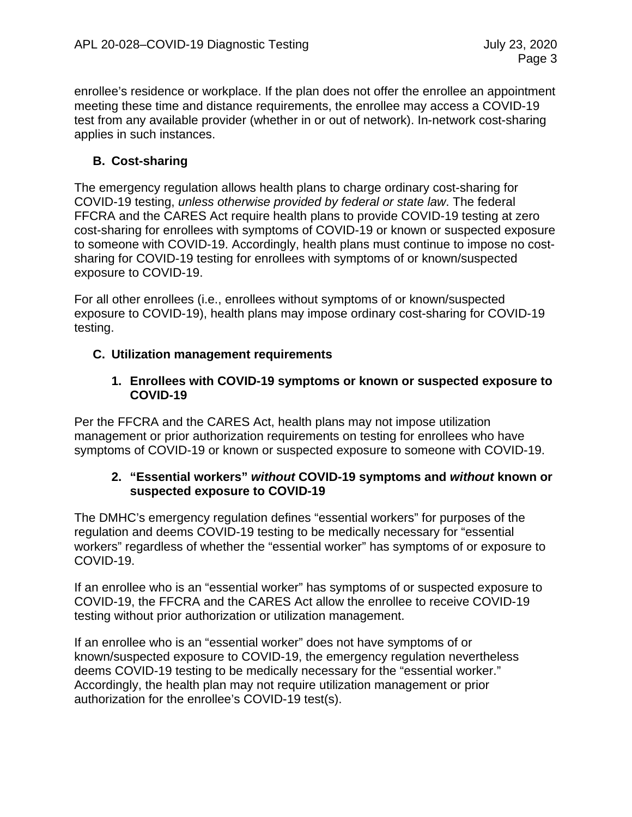enrollee's residence or workplace. If the plan does not offer the enrollee an appointment meeting these time and distance requirements, the enrollee may access a COVID-19 test from any available provider (whether in or out of network). In-network cost-sharing applies in such instances.

# **B. Cost-sharing**

The emergency regulation allows health plans to charge ordinary cost-sharing for COVID-19 testing, *unless otherwise provided by federal or state law*. The federal FFCRA and the CARES Act require health plans to provide COVID-19 testing at zero cost-sharing for enrollees with symptoms of COVID-19 or known or suspected exposure to someone with COVID-19. Accordingly, health plans must continue to impose no costsharing for COVID-19 testing for enrollees with symptoms of or known/suspected exposure to COVID-19.

For all other enrollees (i.e., enrollees without symptoms of or known/suspected exposure to COVID-19), health plans may impose ordinary cost-sharing for COVID-19 testing.

# **C. Utilization management requirements**

## **1. Enrollees with COVID-19 symptoms or known or suspected exposure to COVID-19**

Per the FFCRA and the CARES Act, health plans may not impose utilization management or prior authorization requirements on testing for enrollees who have symptoms of COVID-19 or known or suspected exposure to someone with COVID-19.

# **2. "Essential workers"** *without* **COVID-19 symptoms and** *without* **known or suspected exposure to COVID-19**

The DMHC's emergency regulation defines "essential workers" for purposes of the regulation and deems COVID-19 testing to be medically necessary for "essential workers" regardless of whether the "essential worker" has symptoms of or exposure to COVID-19.

If an enrollee who is an "essential worker" has symptoms of or suspected exposure to COVID-19, the FFCRA and the CARES Act allow the enrollee to receive COVID-19 testing without prior authorization or utilization management.

If an enrollee who is an "essential worker" does not have symptoms of or known/suspected exposure to COVID-19, the emergency regulation nevertheless deems COVID-19 testing to be medically necessary for the "essential worker." Accordingly, the health plan may not require utilization management or prior authorization for the enrollee's COVID-19 test(s).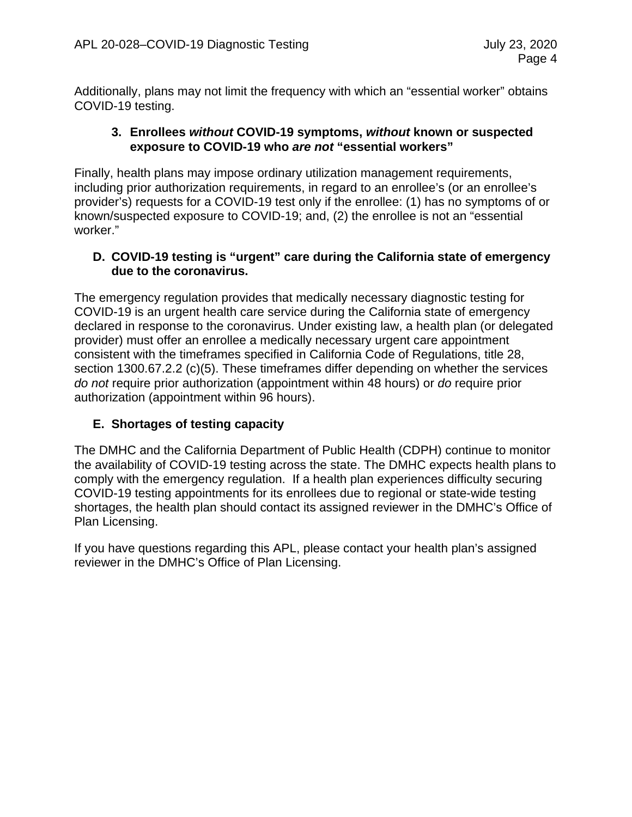Additionally, plans may not limit the frequency with which an "essential worker" obtains COVID-19 testing.

#### **3. Enrollees** *without* **COVID-19 symptoms,** *without* **known or suspected exposure to COVID-19 who** *are not* **"essential workers"**

Finally, health plans may impose ordinary utilization management requirements, including prior authorization requirements, in regard to an enrollee's (or an enrollee's provider's) requests for a COVID-19 test only if the enrollee: (1) has no symptoms of or known/suspected exposure to COVID-19; and, (2) the enrollee is not an "essential worker."

#### **D. COVID-19 testing is "urgent" care during the California state of emergency due to the coronavirus.**

The emergency regulation provides that medically necessary diagnostic testing for COVID-19 is an urgent health care service during the California state of emergency declared in response to the coronavirus. Under existing law, a health plan (or delegated provider) must offer an enrollee a medically necessary urgent care appointment consistent with the timeframes specified in California Code of Regulations, title 28, section 1300.67.2.2 (c)(5). These timeframes differ depending on whether the services *do not* require prior authorization (appointment within 48 hours) or *do* require prior authorization (appointment within 96 hours).

# **E. Shortages of testing capacity**

The DMHC and the California Department of Public Health (CDPH) continue to monitor the availability of COVID-19 testing across the state. The DMHC expects health plans to comply with the emergency regulation. If a health plan experiences difficulty securing COVID-19 testing appointments for its enrollees due to regional or state-wide testing shortages, the health plan should contact its assigned reviewer in the DMHC's Office of Plan Licensing.

If you have questions regarding this APL, please contact your health plan's assigned reviewer in the DMHC's Office of Plan Licensing.